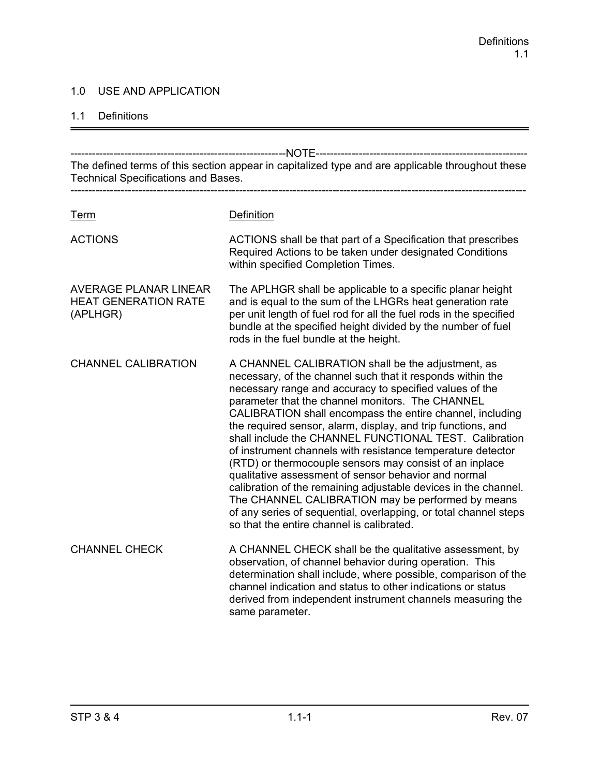#### 1.0 USE AND APPLICATION

#### 1.1 Definitions

------------------------------------------------------------NOTE----------------------------------------------------------- The defined terms of this section appear in capitalized type and are applicable throughout these Technical Specifications and Bases. ------------------------------------------------------------------------------------------------------------------------------- Term Definition ACTIONS ACTIONS shall be that part of a Specification that prescribes Required Actions to be taken under designated Conditions within specified Completion Times. AVERAGE PLANAR LINEAR The APLHGR shall be applicable to a specific planar height HEAT GENERATION RATE and is equal to the sum of the LHGRs heat generation rate (APLHGR) per unit length of fuel rod for all the fuel rods in the specified bundle at the specified height divided by the number of fuel rods in the fuel bundle at the height. CHANNEL CALIBRATION A CHANNEL CALIBRATION shall be the adjustment, as necessary, of the channel such that it responds within the necessary range and accuracy to specified values of the parameter that the channel monitors. The CHANNEL CALIBRATION shall encompass the entire channel, including the required sensor, alarm, display, and trip functions, and shall include the CHANNEL FUNCTIONAL TEST. Calibration of instrument channels with resistance temperature detector (RTD) or thermocouple sensors may consist of an inplace qualitative assessment of sensor behavior and normal calibration of the remaining adjustable devices in the channel. The CHANNEL CALIBRATION may be performed by means of any series of sequential, overlapping, or total channel steps so that the entire channel is calibrated. CHANNEL CHECK A CHANNEL CHECK shall be the qualitative assessment, by observation, of channel behavior during operation. This determination shall include, where possible, comparison of the channel indication and status to other indications or status derived from independent instrument channels measuring the same parameter.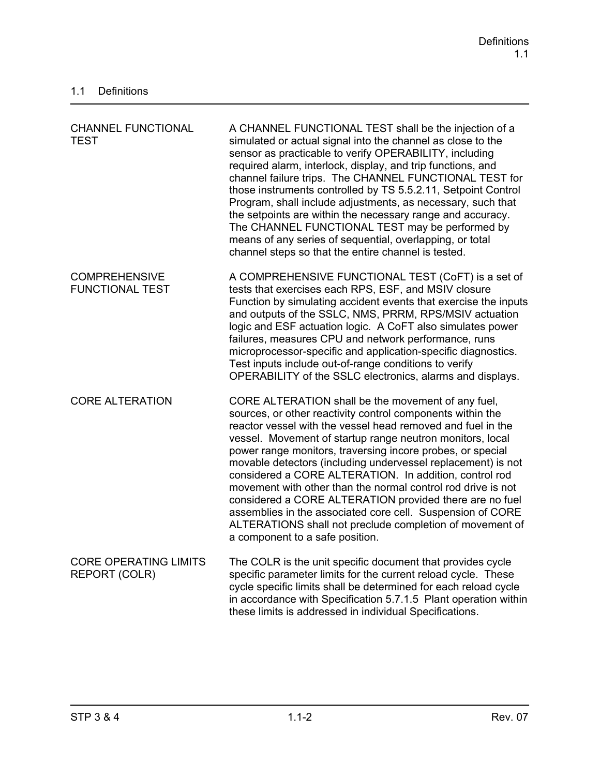| <b>CHANNEL FUNCTIONAL</b><br><b>TEST</b>             | A CHANNEL FUNCTIONAL TEST shall be the injection of a<br>simulated or actual signal into the channel as close to the<br>sensor as practicable to verify OPERABILITY, including<br>required alarm, interlock, display, and trip functions, and<br>channel failure trips. The CHANNEL FUNCTIONAL TEST for<br>those instruments controlled by TS 5.5.2.11, Setpoint Control<br>Program, shall include adjustments, as necessary, such that<br>the setpoints are within the necessary range and accuracy.<br>The CHANNEL FUNCTIONAL TEST may be performed by<br>means of any series of sequential, overlapping, or total<br>channel steps so that the entire channel is tested.                                                  |
|------------------------------------------------------|------------------------------------------------------------------------------------------------------------------------------------------------------------------------------------------------------------------------------------------------------------------------------------------------------------------------------------------------------------------------------------------------------------------------------------------------------------------------------------------------------------------------------------------------------------------------------------------------------------------------------------------------------------------------------------------------------------------------------|
| <b>COMPREHENSIVE</b><br><b>FUNCTIONAL TEST</b>       | A COMPREHENSIVE FUNCTIONAL TEST (CoFT) is a set of<br>tests that exercises each RPS, ESF, and MSIV closure<br>Function by simulating accident events that exercise the inputs<br>and outputs of the SSLC, NMS, PRRM, RPS/MSIV actuation<br>logic and ESF actuation logic. A CoFT also simulates power<br>failures, measures CPU and network performance, runs<br>microprocessor-specific and application-specific diagnostics.<br>Test inputs include out-of-range conditions to verify<br>OPERABILITY of the SSLC electronics, alarms and displays.                                                                                                                                                                         |
| <b>CORE ALTERATION</b>                               | CORE ALTERATION shall be the movement of any fuel,<br>sources, or other reactivity control components within the<br>reactor vessel with the vessel head removed and fuel in the<br>vessel. Movement of startup range neutron monitors, local<br>power range monitors, traversing incore probes, or special<br>movable detectors (including undervessel replacement) is not<br>considered a CORE ALTERATION. In addition, control rod<br>movement with other than the normal control rod drive is not<br>considered a CORE ALTERATION provided there are no fuel<br>assemblies in the associated core cell. Suspension of CORE<br>ALTERATIONS shall not preclude completion of movement of<br>a component to a safe position. |
| <b>CORE OPERATING LIMITS</b><br><b>REPORT (COLR)</b> | The COLR is the unit specific document that provides cycle<br>specific parameter limits for the current reload cycle. These<br>cycle specific limits shall be determined for each reload cycle<br>in accordance with Specification 5.7.1.5 Plant operation within<br>these limits is addressed in individual Specifications.                                                                                                                                                                                                                                                                                                                                                                                                 |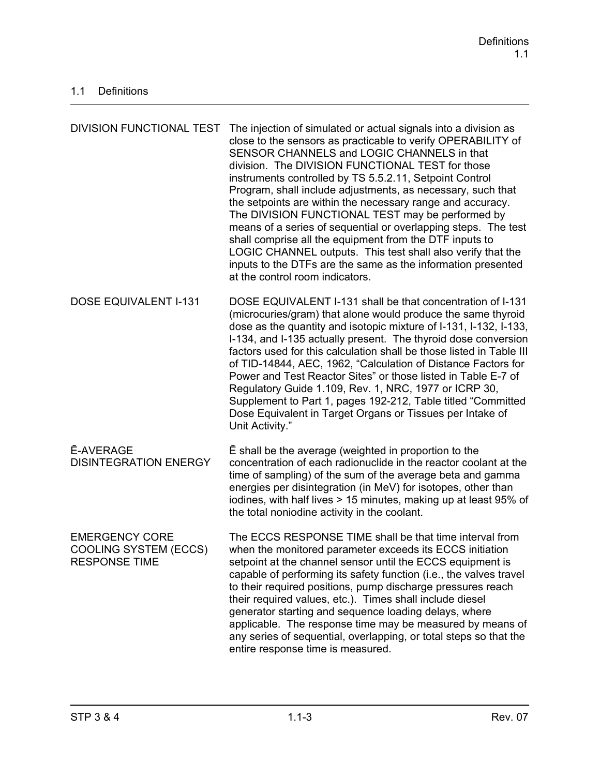| DIVISION FUNCTIONAL TEST                                                      | The injection of simulated or actual signals into a division as<br>close to the sensors as practicable to verify OPERABILITY of<br>SENSOR CHANNELS and LOGIC CHANNELS in that<br>division. The DIVISION FUNCTIONAL TEST for those<br>instruments controlled by TS 5.5.2.11, Setpoint Control<br>Program, shall include adjustments, as necessary, such that<br>the setpoints are within the necessary range and accuracy.<br>The DIVISION FUNCTIONAL TEST may be performed by<br>means of a series of sequential or overlapping steps. The test<br>shall comprise all the equipment from the DTF inputs to<br>LOGIC CHANNEL outputs. This test shall also verify that the<br>inputs to the DTFs are the same as the information presented<br>at the control room indicators. |
|-------------------------------------------------------------------------------|------------------------------------------------------------------------------------------------------------------------------------------------------------------------------------------------------------------------------------------------------------------------------------------------------------------------------------------------------------------------------------------------------------------------------------------------------------------------------------------------------------------------------------------------------------------------------------------------------------------------------------------------------------------------------------------------------------------------------------------------------------------------------|
| <b>DOSE EQUIVALENT I-131</b>                                                  | DOSE EQUIVALENT I-131 shall be that concentration of I-131<br>(microcuries/gram) that alone would produce the same thyroid<br>dose as the quantity and isotopic mixture of I-131, I-132, I-133,<br>I-134, and I-135 actually present. The thyroid dose conversion<br>factors used for this calculation shall be those listed in Table III<br>of TID-14844, AEC, 1962, "Calculation of Distance Factors for<br>Power and Test Reactor Sites" or those listed in Table E-7 of<br>Regulatory Guide 1.109, Rev. 1, NRC, 1977 or ICRP 30,<br>Supplement to Part 1, pages 192-212, Table titled "Committed"<br>Dose Equivalent in Target Organs or Tissues per Intake of<br>Unit Activity."                                                                                        |
| <b>E-AVERAGE</b><br><b>DISINTEGRATION ENERGY</b>                              | E shall be the average (weighted in proportion to the<br>concentration of each radionuclide in the reactor coolant at the<br>time of sampling) of the sum of the average beta and gamma<br>energies per disintegration (in MeV) for isotopes, other than<br>iodines, with half lives > 15 minutes, making up at least 95% of<br>the total noniodine activity in the coolant.                                                                                                                                                                                                                                                                                                                                                                                                 |
| <b>EMERGENCY CORE</b><br><b>COOLING SYSTEM (ECCS)</b><br><b>RESPONSE TIME</b> | The ECCS RESPONSE TIME shall be that time interval from<br>when the monitored parameter exceeds its ECCS initiation<br>setpoint at the channel sensor until the ECCS equipment is<br>capable of performing its safety function (i.e., the valves travel<br>to their required positions, pump discharge pressures reach<br>their required values, etc.). Times shall include diesel<br>generator starting and sequence loading delays, where<br>applicable. The response time may be measured by means of<br>any series of sequential, overlapping, or total steps so that the<br>entire response time is measured.                                                                                                                                                           |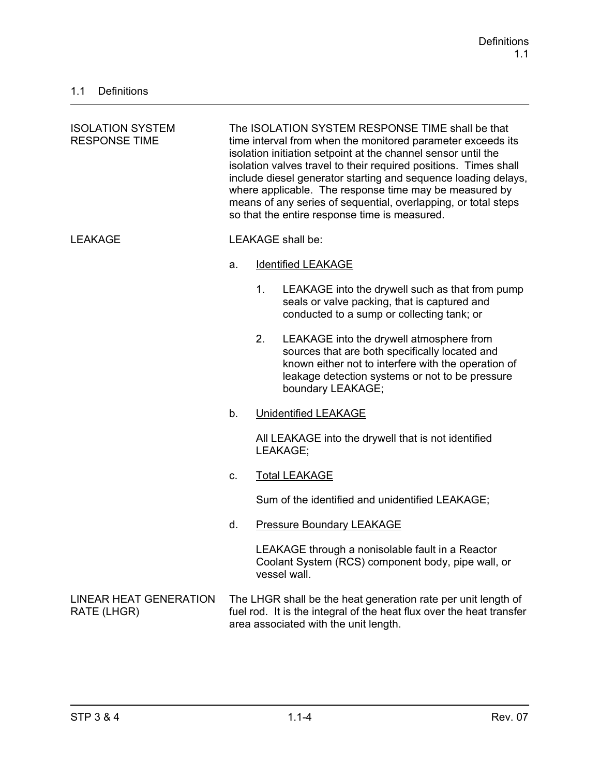| <b>ISOLATION SYSTEM</b><br><b>RESPONSE TIME</b> | The ISOLATION SYSTEM RESPONSE TIME shall be that<br>time interval from when the monitored parameter exceeds its<br>isolation initiation setpoint at the channel sensor until the<br>isolation valves travel to their required positions. Times shall<br>include diesel generator starting and sequence loading delays,<br>where applicable. The response time may be measured by<br>means of any series of sequential, overlapping, or total steps<br>so that the entire response time is measured. |                |                                                                                                                                                                                                                           |
|-------------------------------------------------|-----------------------------------------------------------------------------------------------------------------------------------------------------------------------------------------------------------------------------------------------------------------------------------------------------------------------------------------------------------------------------------------------------------------------------------------------------------------------------------------------------|----------------|---------------------------------------------------------------------------------------------------------------------------------------------------------------------------------------------------------------------------|
| <b>LEAKAGE</b>                                  |                                                                                                                                                                                                                                                                                                                                                                                                                                                                                                     |                | <b>LEAKAGE</b> shall be:                                                                                                                                                                                                  |
|                                                 | a.                                                                                                                                                                                                                                                                                                                                                                                                                                                                                                  |                | <b>Identified LEAKAGE</b>                                                                                                                                                                                                 |
|                                                 |                                                                                                                                                                                                                                                                                                                                                                                                                                                                                                     | 1 <sub>1</sub> | LEAKAGE into the drywell such as that from pump<br>seals or valve packing, that is captured and<br>conducted to a sump or collecting tank; or                                                                             |
|                                                 |                                                                                                                                                                                                                                                                                                                                                                                                                                                                                                     | 2.             | LEAKAGE into the drywell atmosphere from<br>sources that are both specifically located and<br>known either not to interfere with the operation of<br>leakage detection systems or not to be pressure<br>boundary LEAKAGE; |
|                                                 | b.<br><b>Unidentified LEAKAGE</b>                                                                                                                                                                                                                                                                                                                                                                                                                                                                   |                |                                                                                                                                                                                                                           |
|                                                 |                                                                                                                                                                                                                                                                                                                                                                                                                                                                                                     |                | All LEAKAGE into the drywell that is not identified<br>LEAKAGE;                                                                                                                                                           |
|                                                 | C.                                                                                                                                                                                                                                                                                                                                                                                                                                                                                                  |                | <b>Total LEAKAGE</b>                                                                                                                                                                                                      |
|                                                 |                                                                                                                                                                                                                                                                                                                                                                                                                                                                                                     |                | Sum of the identified and unidentified LEAKAGE;                                                                                                                                                                           |
|                                                 | d.                                                                                                                                                                                                                                                                                                                                                                                                                                                                                                  |                | <b>Pressure Boundary LEAKAGE</b>                                                                                                                                                                                          |
|                                                 |                                                                                                                                                                                                                                                                                                                                                                                                                                                                                                     |                | LEAKAGE through a nonisolable fault in a Reactor<br>Coolant System (RCS) component body, pipe wall, or<br>vessel wall.                                                                                                    |
| <b>LINEAR HEAT GENERATION</b><br>RATE (LHGR)    |                                                                                                                                                                                                                                                                                                                                                                                                                                                                                                     |                | The LHGR shall be the heat generation rate per unit length of<br>fuel rod. It is the integral of the heat flux over the heat transfer<br>area associated with the unit length.                                            |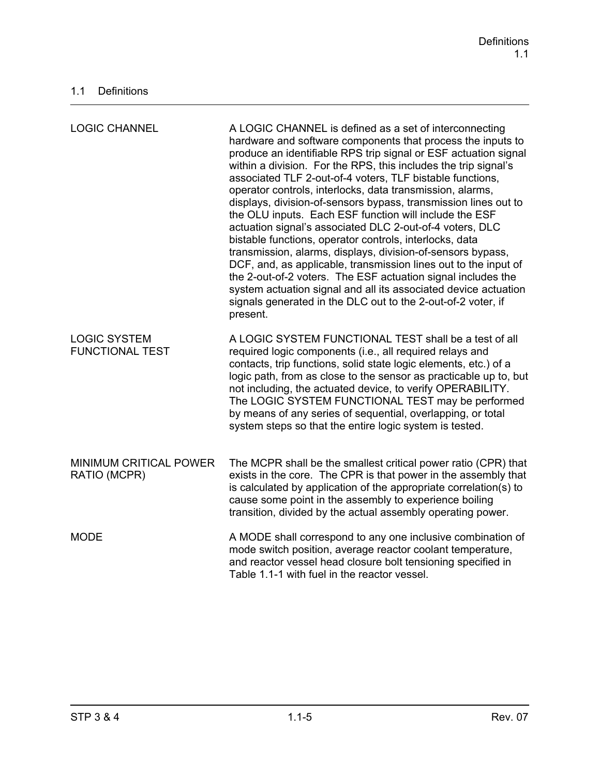| <b>LOGIC CHANNEL</b>                          | A LOGIC CHANNEL is defined as a set of interconnecting<br>hardware and software components that process the inputs to<br>produce an identifiable RPS trip signal or ESF actuation signal<br>within a division. For the RPS, this includes the trip signal's<br>associated TLF 2-out-of-4 voters, TLF bistable functions,<br>operator controls, interlocks, data transmission, alarms,<br>displays, division-of-sensors bypass, transmission lines out to<br>the OLU inputs. Each ESF function will include the ESF<br>actuation signal's associated DLC 2-out-of-4 voters, DLC<br>bistable functions, operator controls, interlocks, data<br>transmission, alarms, displays, division-of-sensors bypass,<br>DCF, and, as applicable, transmission lines out to the input of<br>the 2-out-of-2 voters. The ESF actuation signal includes the<br>system actuation signal and all its associated device actuation<br>signals generated in the DLC out to the 2-out-of-2 voter, if<br>present. |
|-----------------------------------------------|--------------------------------------------------------------------------------------------------------------------------------------------------------------------------------------------------------------------------------------------------------------------------------------------------------------------------------------------------------------------------------------------------------------------------------------------------------------------------------------------------------------------------------------------------------------------------------------------------------------------------------------------------------------------------------------------------------------------------------------------------------------------------------------------------------------------------------------------------------------------------------------------------------------------------------------------------------------------------------------------|
| <b>LOGIC SYSTEM</b><br><b>FUNCTIONAL TEST</b> | A LOGIC SYSTEM FUNCTIONAL TEST shall be a test of all<br>required logic components (i.e., all required relays and<br>contacts, trip functions, solid state logic elements, etc.) of a<br>logic path, from as close to the sensor as practicable up to, but<br>not including, the actuated device, to verify OPERABILITY.<br>The LOGIC SYSTEM FUNCTIONAL TEST may be performed<br>by means of any series of sequential, overlapping, or total<br>system steps so that the entire logic system is tested.                                                                                                                                                                                                                                                                                                                                                                                                                                                                                    |
| MINIMUM CRITICAL POWER<br>RATIO (MCPR)        | The MCPR shall be the smallest critical power ratio (CPR) that<br>exists in the core. The CPR is that power in the assembly that<br>is calculated by application of the appropriate correlation(s) to<br>cause some point in the assembly to experience boiling<br>transition, divided by the actual assembly operating power.                                                                                                                                                                                                                                                                                                                                                                                                                                                                                                                                                                                                                                                             |
| <b>MODE</b>                                   | A MODE shall correspond to any one inclusive combination of<br>mode switch position, average reactor coolant temperature,<br>and reactor vessel head closure bolt tensioning specified in<br>Table 1.1-1 with fuel in the reactor vessel.                                                                                                                                                                                                                                                                                                                                                                                                                                                                                                                                                                                                                                                                                                                                                  |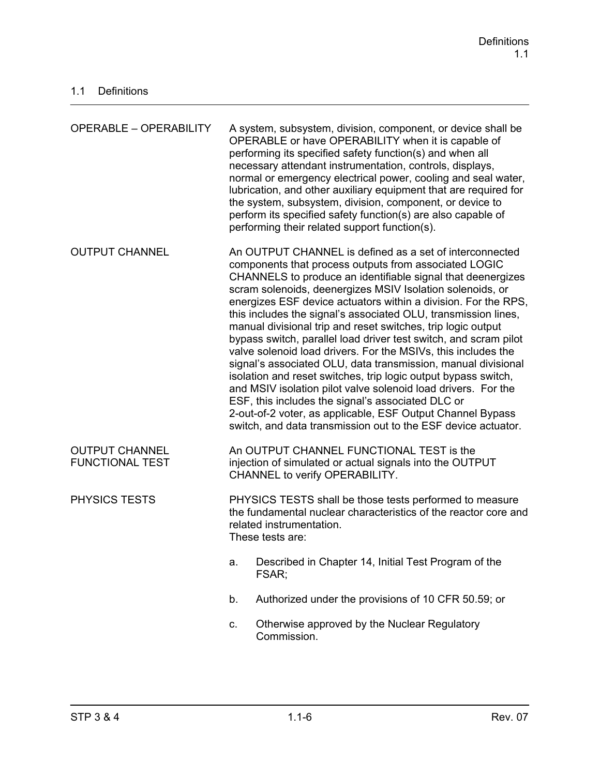| <b>OPERABLE - OPERABILITY</b>                   |                                                                                                                                                                                                                                                                                                                                                                                                                                                                                                                                                                                                                                                                                                                                                                                                                                                                                                                                                                               | A system, subsystem, division, component, or device shall be<br>OPERABLE or have OPERABILITY when it is capable of<br>performing its specified safety function(s) and when all<br>necessary attendant instrumentation, controls, displays,<br>normal or emergency electrical power, cooling and seal water,<br>lubrication, and other auxiliary equipment that are required for<br>the system, subsystem, division, component, or device to<br>perform its specified safety function(s) are also capable of<br>performing their related support function(s). |  |
|-------------------------------------------------|-------------------------------------------------------------------------------------------------------------------------------------------------------------------------------------------------------------------------------------------------------------------------------------------------------------------------------------------------------------------------------------------------------------------------------------------------------------------------------------------------------------------------------------------------------------------------------------------------------------------------------------------------------------------------------------------------------------------------------------------------------------------------------------------------------------------------------------------------------------------------------------------------------------------------------------------------------------------------------|--------------------------------------------------------------------------------------------------------------------------------------------------------------------------------------------------------------------------------------------------------------------------------------------------------------------------------------------------------------------------------------------------------------------------------------------------------------------------------------------------------------------------------------------------------------|--|
| <b>OUTPUT CHANNEL</b>                           | An OUTPUT CHANNEL is defined as a set of interconnected<br>components that process outputs from associated LOGIC<br>CHANNELS to produce an identifiable signal that deenergizes<br>scram solenoids, deenergizes MSIV Isolation solenoids, or<br>energizes ESF device actuators within a division. For the RPS,<br>this includes the signal's associated OLU, transmission lines,<br>manual divisional trip and reset switches, trip logic output<br>bypass switch, parallel load driver test switch, and scram pilot<br>valve solenoid load drivers. For the MSIVs, this includes the<br>signal's associated OLU, data transmission, manual divisional<br>isolation and reset switches, trip logic output bypass switch,<br>and MSIV isolation pilot valve solenoid load drivers. For the<br>ESF, this includes the signal's associated DLC or<br>2-out-of-2 voter, as applicable, ESF Output Channel Bypass<br>switch, and data transmission out to the ESF device actuator. |                                                                                                                                                                                                                                                                                                                                                                                                                                                                                                                                                              |  |
| <b>OUTPUT CHANNEL</b><br><b>FUNCTIONAL TEST</b> | An OUTPUT CHANNEL FUNCTIONAL TEST is the<br>injection of simulated or actual signals into the OUTPUT<br>CHANNEL to verify OPERABILITY.                                                                                                                                                                                                                                                                                                                                                                                                                                                                                                                                                                                                                                                                                                                                                                                                                                        |                                                                                                                                                                                                                                                                                                                                                                                                                                                                                                                                                              |  |
| <b>PHYSICS TESTS</b>                            | PHYSICS TESTS shall be those tests performed to measure<br>the fundamental nuclear characteristics of the reactor core and<br>related instrumentation.<br>These tests are:                                                                                                                                                                                                                                                                                                                                                                                                                                                                                                                                                                                                                                                                                                                                                                                                    |                                                                                                                                                                                                                                                                                                                                                                                                                                                                                                                                                              |  |
|                                                 | a.                                                                                                                                                                                                                                                                                                                                                                                                                                                                                                                                                                                                                                                                                                                                                                                                                                                                                                                                                                            | Described in Chapter 14, Initial Test Program of the<br>FSAR;                                                                                                                                                                                                                                                                                                                                                                                                                                                                                                |  |
|                                                 | b.                                                                                                                                                                                                                                                                                                                                                                                                                                                                                                                                                                                                                                                                                                                                                                                                                                                                                                                                                                            | Authorized under the provisions of 10 CFR 50.59; or                                                                                                                                                                                                                                                                                                                                                                                                                                                                                                          |  |
|                                                 | C.                                                                                                                                                                                                                                                                                                                                                                                                                                                                                                                                                                                                                                                                                                                                                                                                                                                                                                                                                                            | Otherwise approved by the Nuclear Regulatory<br>Commission.                                                                                                                                                                                                                                                                                                                                                                                                                                                                                                  |  |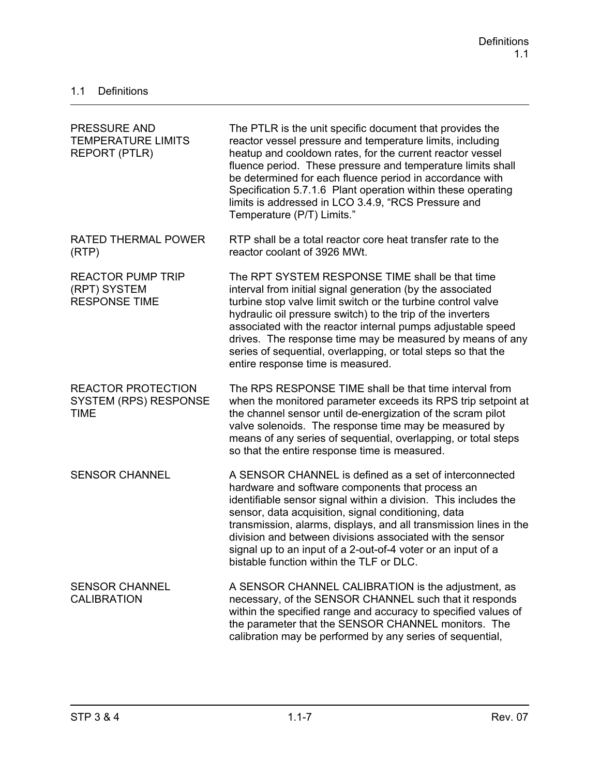| PRESSURE AND<br><b>TEMPERATURE LIMITS</b><br><b>REPORT (PTLR)</b>        | The PTLR is the unit specific document that provides the<br>reactor vessel pressure and temperature limits, including<br>heatup and cooldown rates, for the current reactor vessel<br>fluence period. These pressure and temperature limits shall<br>be determined for each fluence period in accordance with<br>Specification 5.7.1.6 Plant operation within these operating<br>limits is addressed in LCO 3.4.9, "RCS Pressure and<br>Temperature (P/T) Limits."                 |
|--------------------------------------------------------------------------|------------------------------------------------------------------------------------------------------------------------------------------------------------------------------------------------------------------------------------------------------------------------------------------------------------------------------------------------------------------------------------------------------------------------------------------------------------------------------------|
| <b>RATED THERMAL POWER</b><br>(RTP)                                      | RTP shall be a total reactor core heat transfer rate to the<br>reactor coolant of 3926 MWt.                                                                                                                                                                                                                                                                                                                                                                                        |
| <b>REACTOR PUMP TRIP</b><br>(RPT) SYSTEM<br><b>RESPONSE TIME</b>         | The RPT SYSTEM RESPONSE TIME shall be that time<br>interval from initial signal generation (by the associated<br>turbine stop valve limit switch or the turbine control valve<br>hydraulic oil pressure switch) to the trip of the inverters<br>associated with the reactor internal pumps adjustable speed<br>drives. The response time may be measured by means of any<br>series of sequential, overlapping, or total steps so that the<br>entire response time is measured.     |
| <b>REACTOR PROTECTION</b><br><b>SYSTEM (RPS) RESPONSE</b><br><b>TIME</b> | The RPS RESPONSE TIME shall be that time interval from<br>when the monitored parameter exceeds its RPS trip setpoint at<br>the channel sensor until de-energization of the scram pilot<br>valve solenoids. The response time may be measured by<br>means of any series of sequential, overlapping, or total steps<br>so that the entire response time is measured.                                                                                                                 |
| <b>SENSOR CHANNEL</b>                                                    | A SENSOR CHANNEL is defined as a set of interconnected<br>hardware and software components that process an<br>identifiable sensor signal within a division. This includes the<br>sensor, data acquisition, signal conditioning, data<br>transmission, alarms, displays, and all transmission lines in the<br>division and between divisions associated with the sensor<br>signal up to an input of a 2-out-of-4 voter or an input of a<br>bistable function within the TLF or DLC. |
| <b>SENSOR CHANNEL</b><br><b>CALIBRATION</b>                              | A SENSOR CHANNEL CALIBRATION is the adjustment, as<br>necessary, of the SENSOR CHANNEL such that it responds<br>within the specified range and accuracy to specified values of<br>the parameter that the SENSOR CHANNEL monitors. The<br>calibration may be performed by any series of sequential,                                                                                                                                                                                 |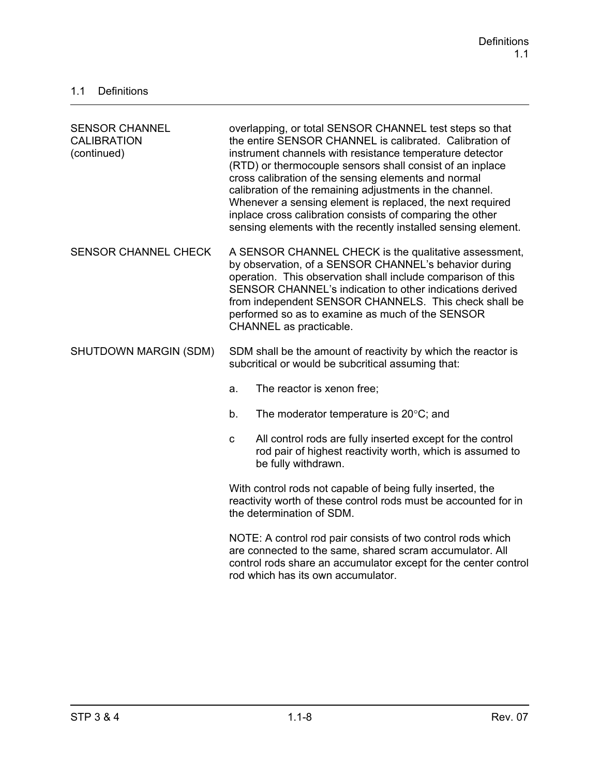| <b>SENSOR CHANNEL</b><br><b>CALIBRATION</b><br>(continued) | overlapping, or total SENSOR CHANNEL test steps so that<br>the entire SENSOR CHANNEL is calibrated. Calibration of<br>instrument channels with resistance temperature detector<br>(RTD) or thermocouple sensors shall consist of an inplace<br>cross calibration of the sensing elements and normal<br>calibration of the remaining adjustments in the channel.<br>Whenever a sensing element is replaced, the next required<br>inplace cross calibration consists of comparing the other<br>sensing elements with the recently installed sensing element. |  |
|------------------------------------------------------------|------------------------------------------------------------------------------------------------------------------------------------------------------------------------------------------------------------------------------------------------------------------------------------------------------------------------------------------------------------------------------------------------------------------------------------------------------------------------------------------------------------------------------------------------------------|--|
| <b>SENSOR CHANNEL CHECK</b>                                | A SENSOR CHANNEL CHECK is the qualitative assessment,<br>by observation, of a SENSOR CHANNEL's behavior during<br>operation. This observation shall include comparison of this<br>SENSOR CHANNEL's indication to other indications derived<br>from independent SENSOR CHANNELS. This check shall be<br>performed so as to examine as much of the SENSOR<br>CHANNEL as practicable.                                                                                                                                                                         |  |
| SHUTDOWN MARGIN (SDM)                                      | SDM shall be the amount of reactivity by which the reactor is<br>subcritical or would be subcritical assuming that:                                                                                                                                                                                                                                                                                                                                                                                                                                        |  |
|                                                            | The reactor is xenon free;<br>a.                                                                                                                                                                                                                                                                                                                                                                                                                                                                                                                           |  |
|                                                            | The moderator temperature is $20^{\circ}$ C; and<br>b.                                                                                                                                                                                                                                                                                                                                                                                                                                                                                                     |  |
|                                                            | All control rods are fully inserted except for the control<br>$\mathbf{C}$<br>rod pair of highest reactivity worth, which is assumed to<br>be fully withdrawn.                                                                                                                                                                                                                                                                                                                                                                                             |  |
|                                                            | With control rods not capable of being fully inserted, the<br>reactivity worth of these control rods must be accounted for in<br>the determination of SDM.                                                                                                                                                                                                                                                                                                                                                                                                 |  |
|                                                            | NOTE: A control rod pair consists of two control rods which<br>are connected to the same, shared scram accumulator. All<br>control rods share an accumulator except for the center control<br>rod which has its own accumulator.                                                                                                                                                                                                                                                                                                                           |  |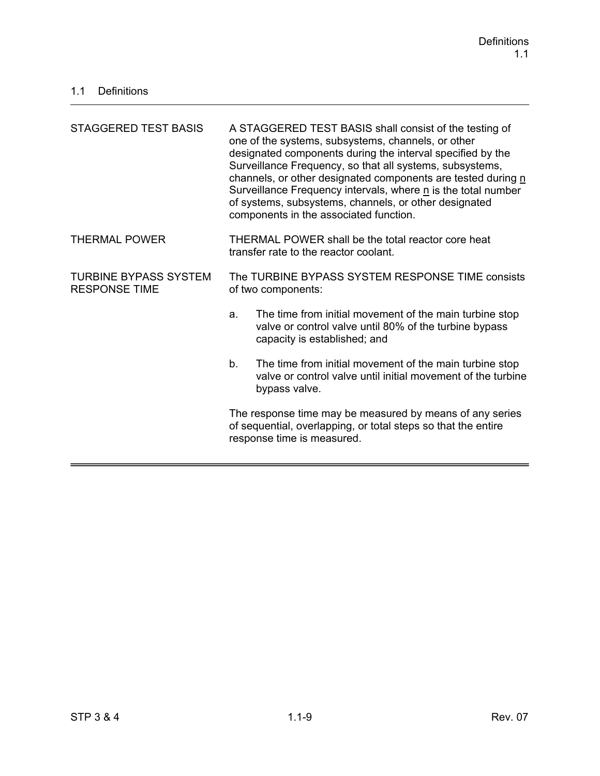| <b>STAGGERED TEST BASIS</b>                          | A STAGGERED TEST BASIS shall consist of the testing of<br>one of the systems, subsystems, channels, or other<br>designated components during the interval specified by the<br>Surveillance Frequency, so that all systems, subsystems,<br>channels, or other designated components are tested during n<br>Surveillance Frequency intervals, where n is the total number<br>of systems, subsystems, channels, or other designated<br>components in the associated function. |  |
|------------------------------------------------------|----------------------------------------------------------------------------------------------------------------------------------------------------------------------------------------------------------------------------------------------------------------------------------------------------------------------------------------------------------------------------------------------------------------------------------------------------------------------------|--|
| <b>THERMAL POWER</b>                                 | THERMAL POWER shall be the total reactor core heat<br>transfer rate to the reactor coolant.                                                                                                                                                                                                                                                                                                                                                                                |  |
| <b>TURBINE BYPASS SYSTEM</b><br><b>RESPONSE TIME</b> | The TURBINE BYPASS SYSTEM RESPONSE TIME consists<br>of two components:                                                                                                                                                                                                                                                                                                                                                                                                     |  |
|                                                      | The time from initial movement of the main turbine stop<br>a.<br>valve or control valve until 80% of the turbine bypass<br>capacity is established; and                                                                                                                                                                                                                                                                                                                    |  |
|                                                      | b.<br>The time from initial movement of the main turbine stop<br>valve or control valve until initial movement of the turbine<br>bypass valve.                                                                                                                                                                                                                                                                                                                             |  |
|                                                      | The response time may be measured by means of any series<br>of sequential, overlapping, or total steps so that the entire<br>response time is measured.                                                                                                                                                                                                                                                                                                                    |  |
|                                                      |                                                                                                                                                                                                                                                                                                                                                                                                                                                                            |  |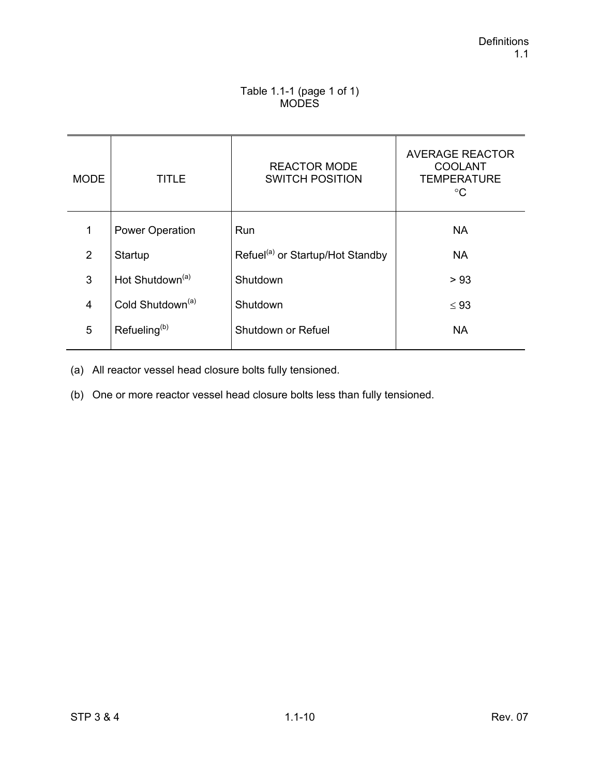#### Table 1.1-1 (page 1 of 1) **MODES**

| <b>MODE</b>    | TITLE                        | <b>REACTOR MODE</b><br><b>SWITCH POSITION</b> | <b>AVERAGE REACTOR</b><br><b>COOLANT</b><br><b>TEMPERATURE</b><br>°C |
|----------------|------------------------------|-----------------------------------------------|----------------------------------------------------------------------|
| 1              | <b>Power Operation</b>       | Run                                           | <b>NA</b>                                                            |
| 2              | Startup                      | Refuel <sup>(a)</sup> or Startup/Hot Standby  | <b>NA</b>                                                            |
| 3              | Hot Shutdown <sup>(a)</sup>  | Shutdown                                      | > 93                                                                 |
| $\overline{4}$ | Cold Shutdown <sup>(a)</sup> | Shutdown                                      | $\leq 93$                                                            |
| 5              | Refueling <sup>(b)</sup>     | Shutdown or Refuel                            | <b>NA</b>                                                            |

(a) All reactor vessel head closure bolts fully tensioned.

(b) One or more reactor vessel head closure bolts less than fully tensioned.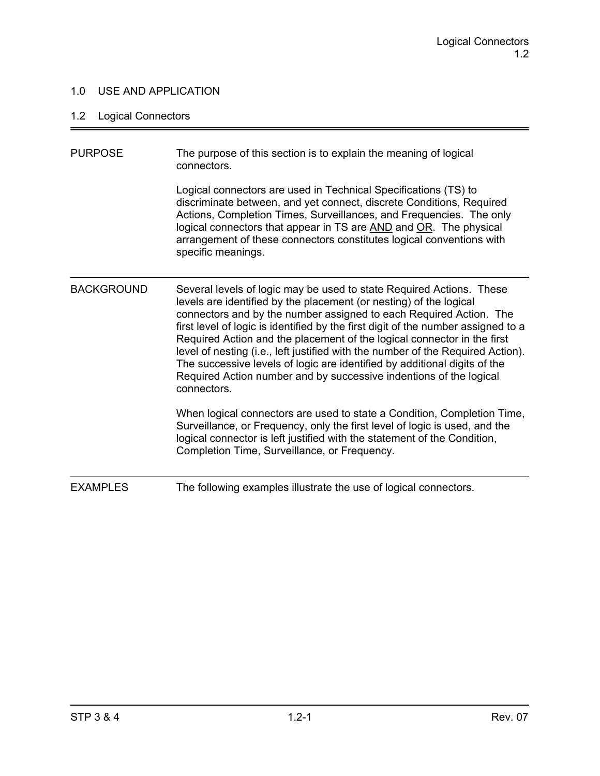### 1.0 USE AND APPLICATION

### 1.2 Logical Connectors

| <b>PURPOSE</b>    | The purpose of this section is to explain the meaning of logical<br>connectors.                                                                                                                                                                                                                                                                                                                                                                                                                                                                                                                                                       |
|-------------------|---------------------------------------------------------------------------------------------------------------------------------------------------------------------------------------------------------------------------------------------------------------------------------------------------------------------------------------------------------------------------------------------------------------------------------------------------------------------------------------------------------------------------------------------------------------------------------------------------------------------------------------|
|                   | Logical connectors are used in Technical Specifications (TS) to<br>discriminate between, and yet connect, discrete Conditions, Required<br>Actions, Completion Times, Surveillances, and Frequencies. The only<br>logical connectors that appear in TS are AND and OR. The physical<br>arrangement of these connectors constitutes logical conventions with<br>specific meanings.                                                                                                                                                                                                                                                     |
| <b>BACKGROUND</b> | Several levels of logic may be used to state Required Actions. These<br>levels are identified by the placement (or nesting) of the logical<br>connectors and by the number assigned to each Required Action. The<br>first level of logic is identified by the first digit of the number assigned to a<br>Required Action and the placement of the logical connector in the first<br>level of nesting (i.e., left justified with the number of the Required Action).<br>The successive levels of logic are identified by additional digits of the<br>Required Action number and by successive indentions of the logical<br>connectors. |
|                   | When logical connectors are used to state a Condition, Completion Time,<br>Surveillance, or Frequency, only the first level of logic is used, and the<br>logical connector is left justified with the statement of the Condition,<br>Completion Time, Surveillance, or Frequency.                                                                                                                                                                                                                                                                                                                                                     |
| <b>EXAMPLES</b>   | The following examples illustrate the use of logical connectors.                                                                                                                                                                                                                                                                                                                                                                                                                                                                                                                                                                      |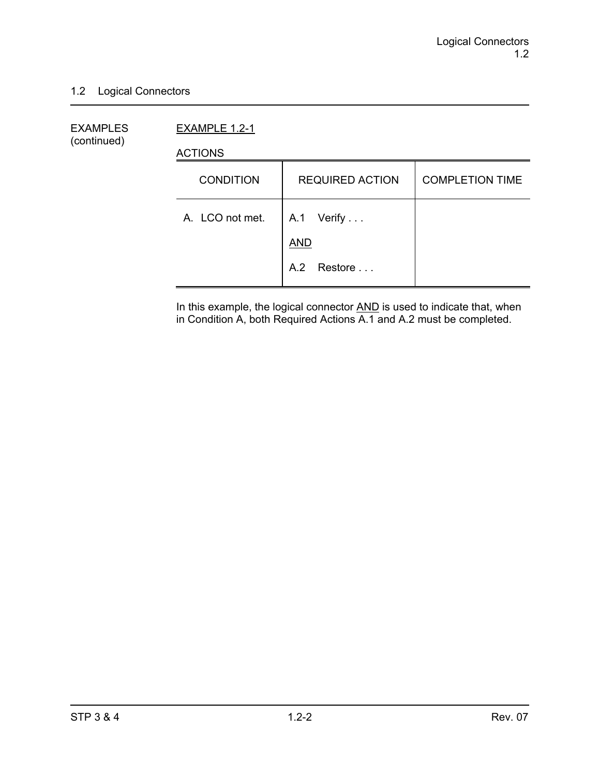#### 1.2 Logical Connectors

EXAMPLES EXAMPLE 1.2-1 (continued)

ACTIONS

| <b>CONDITION</b> | <b>REQUIRED ACTION</b>   | <b>COMPLETION TIME</b> |
|------------------|--------------------------|------------------------|
| A. LCO not met.  | A.1 Verify<br><b>AND</b> |                        |
|                  | A.2 Restore              |                        |

In this example, the logical connector **AND** is used to indicate that, when in Condition A, both Required Actions A.1 and A.2 must be completed.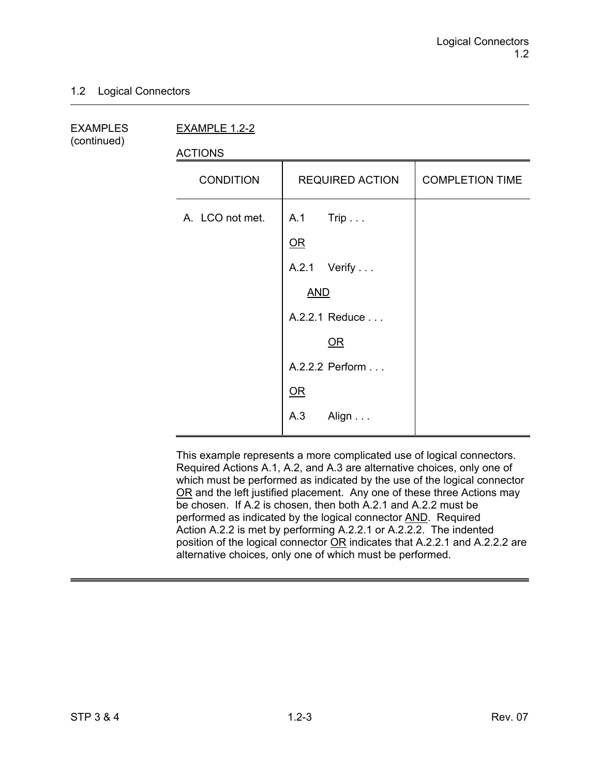#### 1.2 Logical Connectors

(continued)

EXAMPLES EXAMPLE 1.2-2

ACTIONS

| <b>CONDITION</b> | <b>REQUIRED ACTION</b>           | <b>COMPLETION TIME</b> |
|------------------|----------------------------------|------------------------|
| A. LCO not met.  | A.1 Trip<br>$OR$<br>A.2.1 Verify |                        |
|                  | <b>AND</b>                       |                        |
|                  | A.2.2.1 Reduce                   |                        |
|                  | $\overline{\mathsf{OR}}$         |                        |
|                  | A.2.2.2 Perform                  |                        |
|                  | QR                               |                        |
|                  | A.3<br>Align                     |                        |

This example represents a more complicated use of logical connectors. Required Actions A.1, A.2, and A.3 are alternative choices, only one of which must be performed as indicated by the use of the logical connector OR and the left justified placement. Any one of these three Actions may be chosen. If A.2 is chosen, then both A.2.1 and A.2.2 must be performed as indicated by the logical connector AND. Required Action A.2.2 is met by performing A.2.2.1 or A.2.2.2. The indented position of the logical connector OR indicates that A.2.2.1 and A.2.2.2 are alternative choices, only one of which must be performed.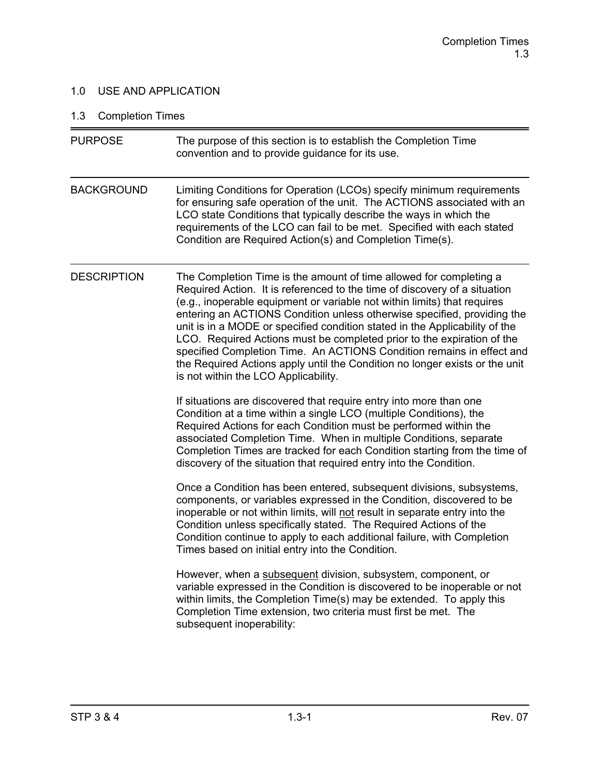### 1.0 USE AND APPLICATION

## 1.3 Completion Times

| <b>PURPOSE</b>     | The purpose of this section is to establish the Completion Time<br>convention and to provide guidance for its use.                                                                                                                                                                                                                                                                                                                                                                                                                                                                                                                                              |
|--------------------|-----------------------------------------------------------------------------------------------------------------------------------------------------------------------------------------------------------------------------------------------------------------------------------------------------------------------------------------------------------------------------------------------------------------------------------------------------------------------------------------------------------------------------------------------------------------------------------------------------------------------------------------------------------------|
| <b>BACKGROUND</b>  | Limiting Conditions for Operation (LCOs) specify minimum requirements<br>for ensuring safe operation of the unit. The ACTIONS associated with an<br>LCO state Conditions that typically describe the ways in which the<br>requirements of the LCO can fail to be met. Specified with each stated<br>Condition are Required Action(s) and Completion Time(s).                                                                                                                                                                                                                                                                                                    |
| <b>DESCRIPTION</b> | The Completion Time is the amount of time allowed for completing a<br>Required Action. It is referenced to the time of discovery of a situation<br>(e.g., inoperable equipment or variable not within limits) that requires<br>entering an ACTIONS Condition unless otherwise specified, providing the<br>unit is in a MODE or specified condition stated in the Applicability of the<br>LCO. Required Actions must be completed prior to the expiration of the<br>specified Completion Time. An ACTIONS Condition remains in effect and<br>the Required Actions apply until the Condition no longer exists or the unit<br>is not within the LCO Applicability. |
|                    | If situations are discovered that require entry into more than one<br>Condition at a time within a single LCO (multiple Conditions), the<br>Required Actions for each Condition must be performed within the<br>associated Completion Time. When in multiple Conditions, separate<br>Completion Times are tracked for each Condition starting from the time of<br>discovery of the situation that required entry into the Condition.                                                                                                                                                                                                                            |
|                    | Once a Condition has been entered, subsequent divisions, subsystems,<br>components, or variables expressed in the Condition, discovered to be<br>inoperable or not within limits, will not result in separate entry into the<br>Condition unless specifically stated. The Required Actions of the<br>Condition continue to apply to each additional failure, with Completion<br>Times based on initial entry into the Condition.                                                                                                                                                                                                                                |
|                    | However, when a subsequent division, subsystem, component, or<br>variable expressed in the Condition is discovered to be inoperable or not<br>within limits, the Completion Time(s) may be extended. To apply this<br>Completion Time extension, two criteria must first be met. The<br>subsequent inoperability:                                                                                                                                                                                                                                                                                                                                               |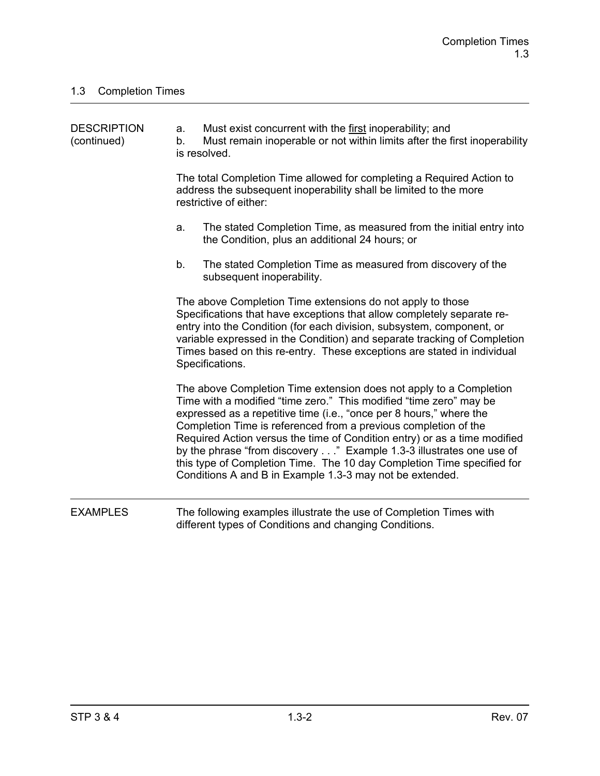| <b>DESCRIPTION</b><br>(continued) | a.<br>b. | Must exist concurrent with the first inoperability; and<br>Must remain inoperable or not within limits after the first inoperability<br>is resolved.                                                                                                                                                                                                                                                                                                                                                                                                                         |
|-----------------------------------|----------|------------------------------------------------------------------------------------------------------------------------------------------------------------------------------------------------------------------------------------------------------------------------------------------------------------------------------------------------------------------------------------------------------------------------------------------------------------------------------------------------------------------------------------------------------------------------------|
|                                   |          | The total Completion Time allowed for completing a Required Action to<br>address the subsequent inoperability shall be limited to the more<br>restrictive of either:                                                                                                                                                                                                                                                                                                                                                                                                         |
|                                   | a.       | The stated Completion Time, as measured from the initial entry into<br>the Condition, plus an additional 24 hours; or                                                                                                                                                                                                                                                                                                                                                                                                                                                        |
|                                   | b.       | The stated Completion Time as measured from discovery of the<br>subsequent inoperability.                                                                                                                                                                                                                                                                                                                                                                                                                                                                                    |
|                                   |          | The above Completion Time extensions do not apply to those<br>Specifications that have exceptions that allow completely separate re-<br>entry into the Condition (for each division, subsystem, component, or<br>variable expressed in the Condition) and separate tracking of Completion<br>Times based on this re-entry. These exceptions are stated in individual<br>Specifications.                                                                                                                                                                                      |
|                                   |          | The above Completion Time extension does not apply to a Completion<br>Time with a modified "time zero." This modified "time zero" may be<br>expressed as a repetitive time (i.e., "once per 8 hours," where the<br>Completion Time is referenced from a previous completion of the<br>Required Action versus the time of Condition entry) or as a time modified<br>by the phrase "from discovery" Example 1.3-3 illustrates one use of<br>this type of Completion Time. The 10 day Completion Time specified for<br>Conditions A and B in Example 1.3-3 may not be extended. |
| <b>EXAMPLES</b>                   |          | The following examples illustrate the use of Completion Times with<br>different types of Conditions and changing Conditions.                                                                                                                                                                                                                                                                                                                                                                                                                                                 |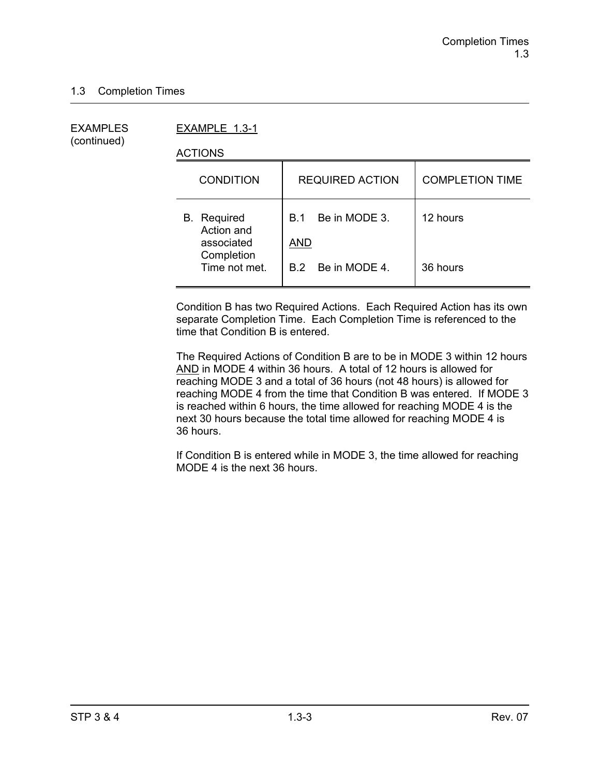(continued)

EXAMPLES EXAMPLE 1.3-1

ACTIONS

| <b>CONDITION</b>                               | <b>REQUIRED ACTION</b>             | <b>COMPLETION TIME</b> |
|------------------------------------------------|------------------------------------|------------------------|
| <b>B.</b> Required<br>Action and<br>associated | Be in MODE 3.<br>B.1<br><b>AND</b> | 12 hours               |
| Completion<br>Time not met.                    | B.2 Be in MODE 4.                  | 36 hours               |

Condition B has two Required Actions. Each Required Action has its own separate Completion Time. Each Completion Time is referenced to the time that Condition B is entered.

The Required Actions of Condition B are to be in MODE 3 within 12 hours AND in MODE 4 within 36 hours. A total of 12 hours is allowed for reaching MODE 3 and a total of 36 hours (not 48 hours) is allowed for reaching MODE 4 from the time that Condition B was entered. If MODE 3 is reached within 6 hours, the time allowed for reaching MODE 4 is the next 30 hours because the total time allowed for reaching MODE 4 is 36 hours.

If Condition B is entered while in MODE 3, the time allowed for reaching MODE 4 is the next 36 hours.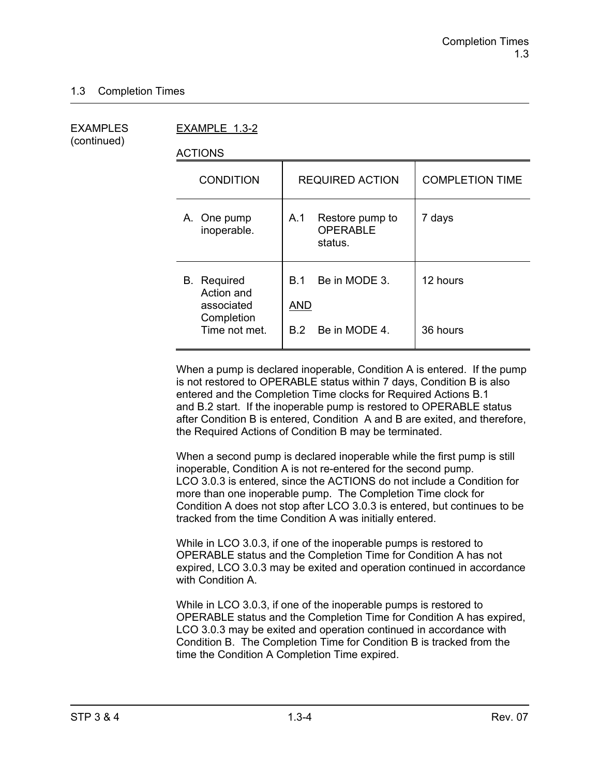(continued)

EXAMPLES EXAMPLE 1.3-2

ACTIONS

| <b>CONDITION</b>                                                              | <b>REQUIRED ACTION</b>                                     | <b>COMPLETION TIME</b> |
|-------------------------------------------------------------------------------|------------------------------------------------------------|------------------------|
| A. One pump<br>inoperable.                                                    | Restore pump to<br>A.1<br><b>OPERABLE</b><br>status.       | 7 days                 |
| <b>B.</b> Required<br>Action and<br>associated<br>Completion<br>Time not met. | Be in MODE 3.<br>B 1<br><b>AND</b><br>Be in MODE 4.<br>B.2 | 12 hours<br>36 hours   |
|                                                                               |                                                            |                        |

When a pump is declared inoperable, Condition A is entered. If the pump is not restored to OPERABLE status within 7 days, Condition B is also entered and the Completion Time clocks for Required Actions B.1 and B.2 start. If the inoperable pump is restored to OPERABLE status after Condition B is entered, Condition A and B are exited, and therefore, the Required Actions of Condition B may be terminated.

When a second pump is declared inoperable while the first pump is still inoperable, Condition A is not re-entered for the second pump. LCO 3.0.3 is entered, since the ACTIONS do not include a Condition for more than one inoperable pump. The Completion Time clock for Condition A does not stop after LCO 3.0.3 is entered, but continues to be tracked from the time Condition A was initially entered.

While in LCO 3.0.3, if one of the inoperable pumps is restored to OPERABLE status and the Completion Time for Condition A has not expired, LCO 3.0.3 may be exited and operation continued in accordance with Condition A.

While in LCO 3.0.3, if one of the inoperable pumps is restored to OPERABLE status and the Completion Time for Condition A has expired, LCO 3.0.3 may be exited and operation continued in accordance with Condition B. The Completion Time for Condition B is tracked from the time the Condition A Completion Time expired.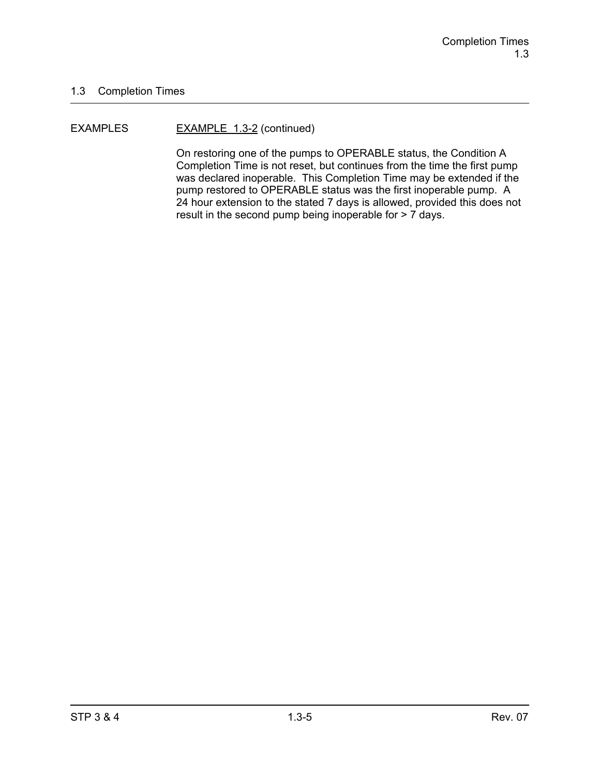#### EXAMPLES EXAMPLE 1.3-2 (continued)

On restoring one of the pumps to OPERABLE status, the Condition A Completion Time is not reset, but continues from the time the first pump was declared inoperable. This Completion Time may be extended if the pump restored to OPERABLE status was the first inoperable pump. A 24 hour extension to the stated 7 days is allowed, provided this does not result in the second pump being inoperable for > 7 days.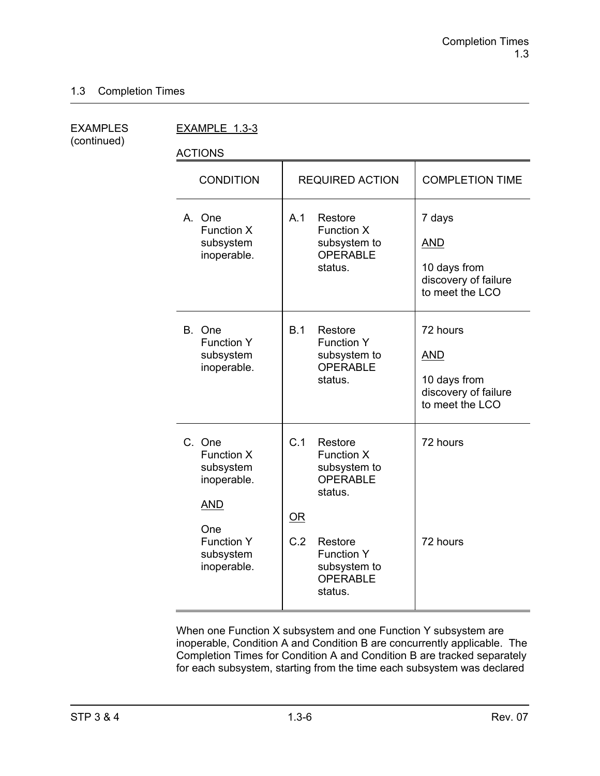(continued)

EXAMPLES EXAMPLE 1.3-3

ACTIONS

| <b>CONDITION</b>                                                                                                              | <b>REQUIRED ACTION</b>                                                                                                                                         | <b>COMPLETION TIME</b>                                                            |
|-------------------------------------------------------------------------------------------------------------------------------|----------------------------------------------------------------------------------------------------------------------------------------------------------------|-----------------------------------------------------------------------------------|
| A. One<br>Function X<br>subsystem<br>inoperable.                                                                              | A.1<br>Restore<br><b>Function X</b><br>subsystem to<br><b>OPERABLE</b><br>status.                                                                              | 7 days<br><b>AND</b><br>10 days from<br>discovery of failure<br>to meet the LCO   |
| B.<br>One<br><b>Function Y</b><br>subsystem<br>inoperable.                                                                    | B.1<br>Restore<br><b>Function Y</b><br>subsystem to<br><b>OPERABLE</b><br>status.                                                                              | 72 hours<br><b>AND</b><br>10 days from<br>discovery of failure<br>to meet the LCO |
| C. One<br><b>Function X</b><br>subsystem<br>inoperable.<br><b>AND</b><br>One<br><b>Function Y</b><br>subsystem<br>inoperable. | C.1<br>Restore<br>Function X<br>subsystem to<br>OPERABLE<br>status.<br>OR<br>C.2<br>Restore<br><b>Function Y</b><br>subsystem to<br><b>OPERABLE</b><br>status. | 72 hours<br>72 hours                                                              |

When one Function X subsystem and one Function Y subsystem are inoperable, Condition A and Condition B are concurrently applicable. The Completion Times for Condition A and Condition B are tracked separately for each subsystem, starting from the time each subsystem was declared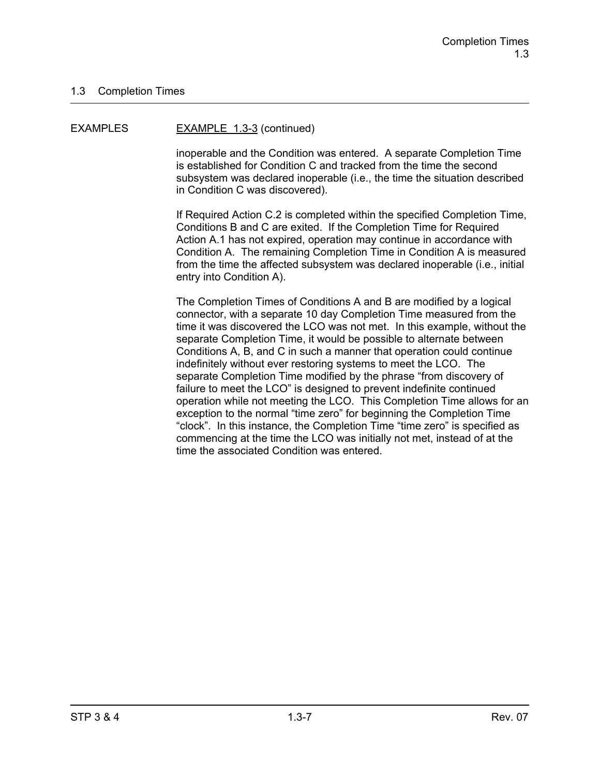#### EXAMPLES EXAMPLE 1.3-3 (continued)

inoperable and the Condition was entered. A separate Completion Time is established for Condition C and tracked from the time the second subsystem was declared inoperable (i.e., the time the situation described in Condition C was discovered).

If Required Action C.2 is completed within the specified Completion Time, Conditions B and C are exited. If the Completion Time for Required Action A.1 has not expired, operation may continue in accordance with Condition A. The remaining Completion Time in Condition A is measured from the time the affected subsystem was declared inoperable (i.e., initial entry into Condition A).

The Completion Times of Conditions A and B are modified by a logical connector, with a separate 10 day Completion Time measured from the time it was discovered the LCO was not met. In this example, without the separate Completion Time, it would be possible to alternate between Conditions A, B, and C in such a manner that operation could continue indefinitely without ever restoring systems to meet the LCO. The separate Completion Time modified by the phrase "from discovery of failure to meet the LCO" is designed to prevent indefinite continued operation while not meeting the LCO. This Completion Time allows for an exception to the normal "time zero" for beginning the Completion Time "clock". In this instance, the Completion Time "time zero" is specified as commencing at the time the LCO was initially not met, instead of at the time the associated Condition was entered.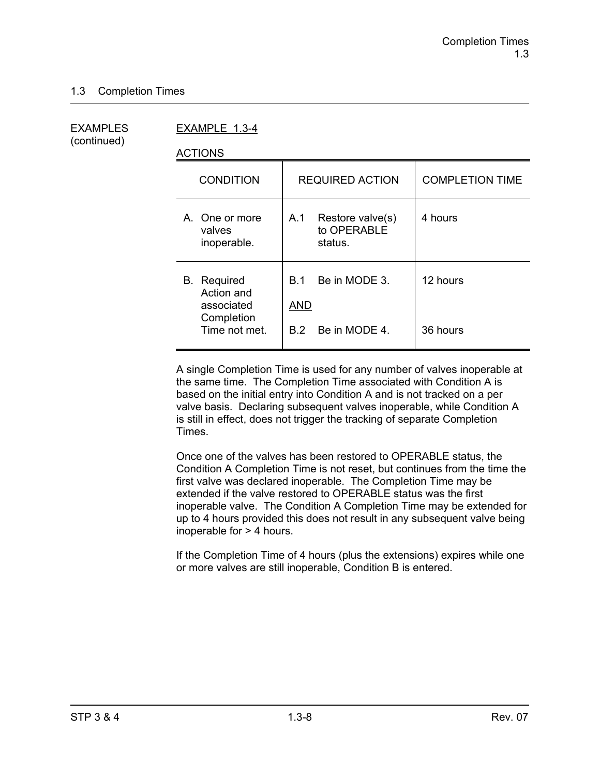(continued)

EXAMPLES EXAMPLE 1.3-4

ACTIONS

| <b>CONDITION</b>                                             | <b>REQUIRED ACTION</b>                            | <b>COMPLETION TIME</b> |
|--------------------------------------------------------------|---------------------------------------------------|------------------------|
| A. One or more<br>valves<br>inoperable.                      | A.1<br>Restore valve(s)<br>to OPERABLE<br>status. | 4 hours                |
| <b>B.</b> Required<br>Action and<br>associated<br>Completion | Be in MODE 3.<br>B 1<br>AND                       | 12 hours               |
| Time not met.                                                | Be in MODE 4.<br>B.2                              | 36 hours               |

A single Completion Time is used for any number of valves inoperable at the same time. The Completion Time associated with Condition A is based on the initial entry into Condition A and is not tracked on a per valve basis. Declaring subsequent valves inoperable, while Condition A is still in effect, does not trigger the tracking of separate Completion Times.

Once one of the valves has been restored to OPERABLE status, the Condition A Completion Time is not reset, but continues from the time the first valve was declared inoperable. The Completion Time may be extended if the valve restored to OPERABLE status was the first inoperable valve. The Condition A Completion Time may be extended for up to 4 hours provided this does not result in any subsequent valve being inoperable for > 4 hours.

If the Completion Time of 4 hours (plus the extensions) expires while one or more valves are still inoperable, Condition B is entered.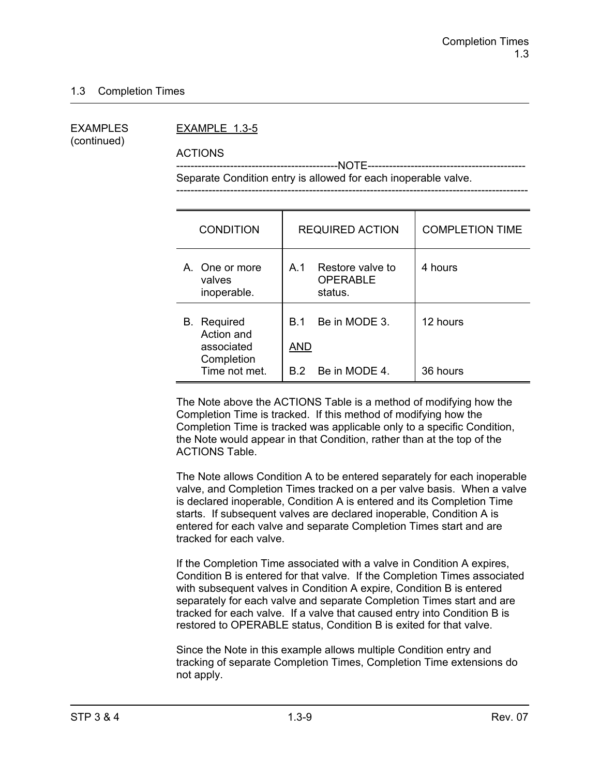(continued)

#### EXAMPLES EXAMPLE 1.3-5

ACTIONS

 ---------------------------------------------NOTE-------------------------------------------- Separate Condition entry is allowed for each inoperable valve.

| <b>CONDITION</b>                                                              | <b>REQUIRED ACTION</b>                                         | <b>COMPLETION TIME</b> |
|-------------------------------------------------------------------------------|----------------------------------------------------------------|------------------------|
| A. One or more<br>valves<br>inoperable.                                       | Restore valve to<br>A.1<br><b>OPERABLE</b><br>status.          | 4 hours                |
| <b>B.</b> Required<br>Action and<br>associated<br>Completion<br>Time not met. | Be in MODE 3.<br><b>B</b> 1<br><b>AND</b><br>B.2 Be in MODE 4. | 12 hours<br>36 hours   |

The Note above the ACTIONS Table is a method of modifying how the Completion Time is tracked. If this method of modifying how the Completion Time is tracked was applicable only to a specific Condition, the Note would appear in that Condition, rather than at the top of the ACTIONS Table.

The Note allows Condition A to be entered separately for each inoperable valve, and Completion Times tracked on a per valve basis. When a valve is declared inoperable, Condition A is entered and its Completion Time starts. If subsequent valves are declared inoperable, Condition A is entered for each valve and separate Completion Times start and are tracked for each valve.

If the Completion Time associated with a valve in Condition A expires, Condition B is entered for that valve. If the Completion Times associated with subsequent valves in Condition A expire, Condition B is entered separately for each valve and separate Completion Times start and are tracked for each valve. If a valve that caused entry into Condition B is restored to OPERABLE status, Condition B is exited for that valve.

Since the Note in this example allows multiple Condition entry and tracking of separate Completion Times, Completion Time extensions do not apply.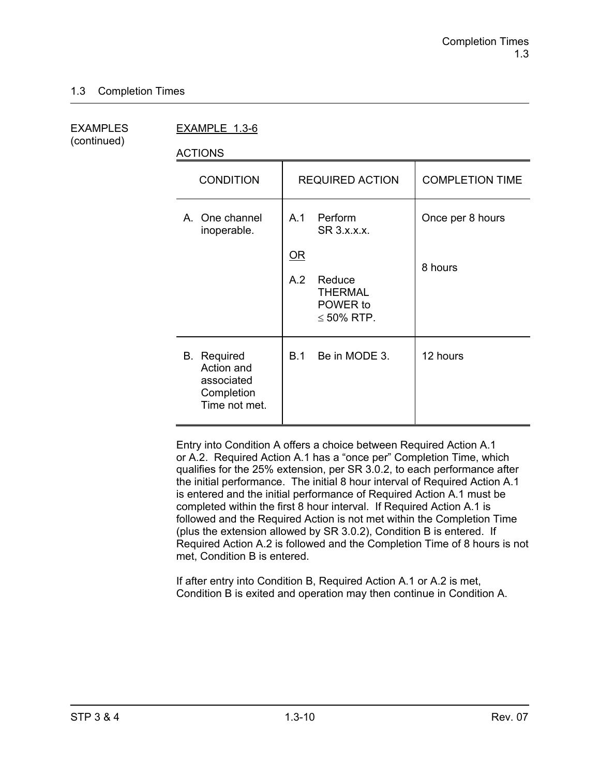(continued)

EXAMPLES EXAMPLE 1.3-6

ACTIONS

| ,,,,,,,,                                                                      |                                                                                                                               |                             |
|-------------------------------------------------------------------------------|-------------------------------------------------------------------------------------------------------------------------------|-----------------------------|
| <b>CONDITION</b>                                                              | <b>REQUIRED ACTION</b>                                                                                                        | <b>COMPLETION TIME</b>      |
| A. One channel<br>inoperable.                                                 | A.1<br>Perform<br>SR 3.x.x.x.<br>$\underline{\mathsf{OR}}$<br>A.2<br>Reduce<br><b>THERMAL</b><br>POWER to<br>$\leq 50\%$ RTP. | Once per 8 hours<br>8 hours |
| <b>B.</b> Required<br>Action and<br>associated<br>Completion<br>Time not met. | Be in MODE 3.<br>B.1                                                                                                          | 12 hours                    |

Entry into Condition A offers a choice between Required Action A.1 or A.2. Required Action A.1 has a "once per" Completion Time, which qualifies for the 25% extension, per SR 3.0.2, to each performance after the initial performance. The initial 8 hour interval of Required Action A.1 is entered and the initial performance of Required Action A.1 must be completed within the first 8 hour interval. If Required Action A.1 is followed and the Required Action is not met within the Completion Time (plus the extension allowed by SR 3.0.2), Condition B is entered. If Required Action A.2 is followed and the Completion Time of 8 hours is not met, Condition B is entered.

If after entry into Condition B, Required Action A.1 or A.2 is met, Condition B is exited and operation may then continue in Condition A.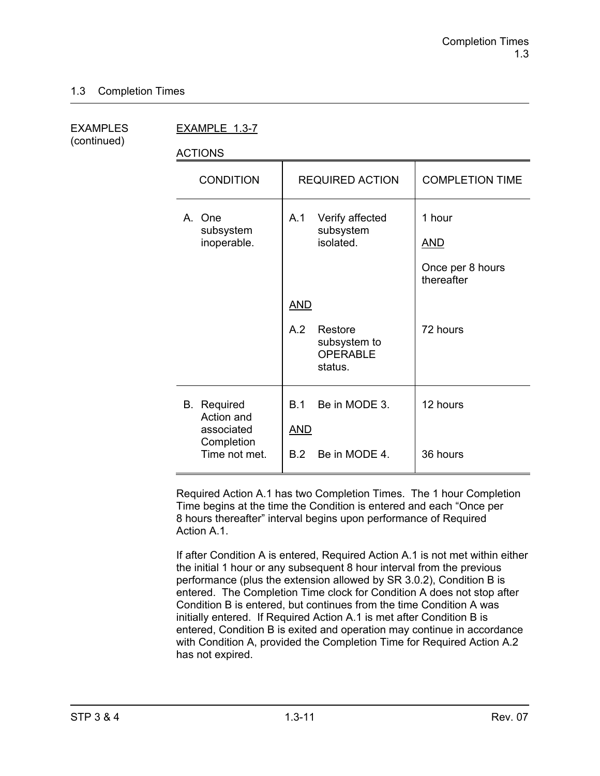| <b>EXAMPLES</b> |  |
|-----------------|--|
| (continued)     |  |

EXAMPLE 1.3-7

ACTIONS

| <b>CONDITION</b>                                                              | <b>REQUIRED ACTION</b>                                                     | <b>COMPLETION TIME</b>                                 |
|-------------------------------------------------------------------------------|----------------------------------------------------------------------------|--------------------------------------------------------|
| A. One<br>subsystem<br>inoperable.                                            | Verify affected<br>A.1<br>subsystem<br>isolated.                           | 1 hour<br><b>AND</b><br>Once per 8 hours<br>thereafter |
|                                                                               | <b>AND</b><br>A.2<br>Restore<br>subsystem to<br><b>OPERABLE</b><br>status. | 72 hours                                               |
| <b>B.</b> Required<br>Action and<br>associated<br>Completion<br>Time not met. | Be in MODE 3.<br>B.1<br><b>AND</b><br>Be in MODE 4.<br>B.2                 | 12 hours<br>36 hours                                   |

Required Action A.1 has two Completion Times. The 1 hour Completion Time begins at the time the Condition is entered and each "Once per 8 hours thereafter" interval begins upon performance of Required Action A<sub>1</sub>

If after Condition A is entered, Required Action A.1 is not met within either the initial 1 hour or any subsequent 8 hour interval from the previous performance (plus the extension allowed by SR 3.0.2), Condition B is entered. The Completion Time clock for Condition A does not stop after Condition B is entered, but continues from the time Condition A was initially entered. If Required Action A.1 is met after Condition B is entered, Condition B is exited and operation may continue in accordance with Condition A, provided the Completion Time for Required Action A.2 has not expired.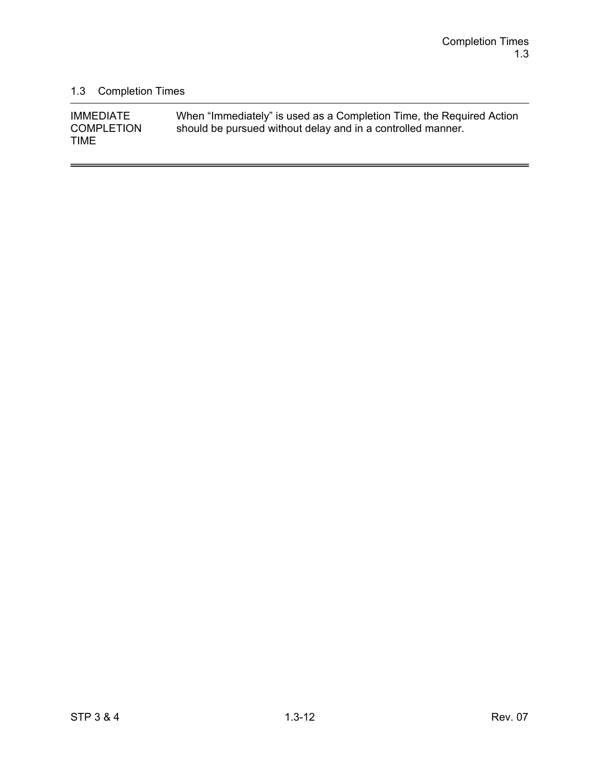$\overline{a}$ 

### 1.3 Completion Times

| <b>IMMEDIATE</b>  | When "Immediately" is used as a Completion Time, the Required Action |
|-------------------|----------------------------------------------------------------------|
| <b>COMPLETION</b> | should be pursued without delay and in a controlled manner.          |
| <b>TIME</b>       |                                                                      |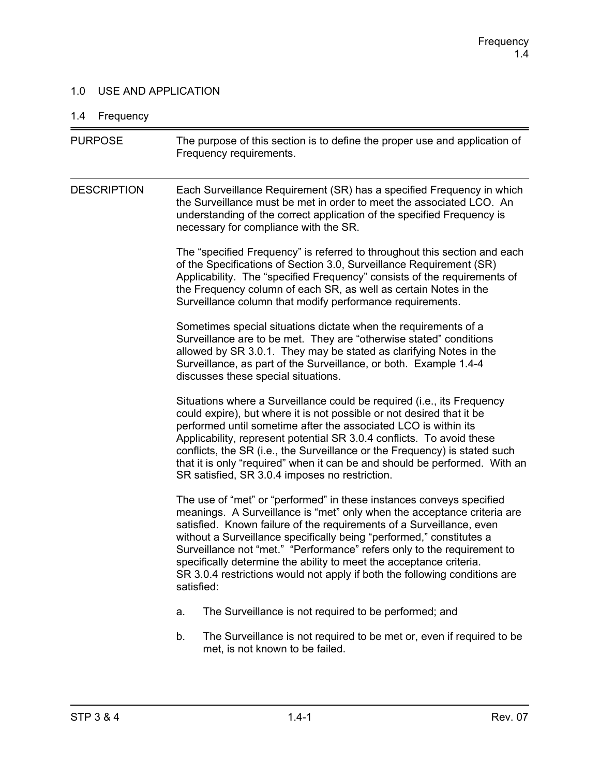### 1.0 USE AND APPLICATION

### 1.4 Frequency

| <b>PURPOSE</b>     | The purpose of this section is to define the proper use and application of<br>Frequency requirements.                                                                                                                                                                                                                                                                                                                                                                                                                                         |  |  |
|--------------------|-----------------------------------------------------------------------------------------------------------------------------------------------------------------------------------------------------------------------------------------------------------------------------------------------------------------------------------------------------------------------------------------------------------------------------------------------------------------------------------------------------------------------------------------------|--|--|
| <b>DESCRIPTION</b> | Each Surveillance Requirement (SR) has a specified Frequency in which<br>the Surveillance must be met in order to meet the associated LCO. An<br>understanding of the correct application of the specified Frequency is<br>necessary for compliance with the SR.                                                                                                                                                                                                                                                                              |  |  |
|                    | The "specified Frequency" is referred to throughout this section and each<br>of the Specifications of Section 3.0, Surveillance Requirement (SR)<br>Applicability. The "specified Frequency" consists of the requirements of<br>the Frequency column of each SR, as well as certain Notes in the<br>Surveillance column that modify performance requirements.                                                                                                                                                                                 |  |  |
|                    | Sometimes special situations dictate when the requirements of a<br>Surveillance are to be met. They are "otherwise stated" conditions<br>allowed by SR 3.0.1. They may be stated as clarifying Notes in the<br>Surveillance, as part of the Surveillance, or both. Example 1.4-4<br>discusses these special situations.                                                                                                                                                                                                                       |  |  |
|                    | Situations where a Surveillance could be required (i.e., its Frequency<br>could expire), but where it is not possible or not desired that it be<br>performed until sometime after the associated LCO is within its<br>Applicability, represent potential SR 3.0.4 conflicts. To avoid these<br>conflicts, the SR (i.e., the Surveillance or the Frequency) is stated such<br>that it is only "required" when it can be and should be performed. With an<br>SR satisfied, SR 3.0.4 imposes no restriction.                                     |  |  |
|                    | The use of "met" or "performed" in these instances conveys specified<br>meanings. A Surveillance is "met" only when the acceptance criteria are<br>satisfied. Known failure of the requirements of a Surveillance, even<br>without a Surveillance specifically being "performed," constitutes a<br>Surveillance not "met." "Performance" refers only to the requirement to<br>specifically determine the ability to meet the acceptance criteria.<br>SR 3.0.4 restrictions would not apply if both the following conditions are<br>satisfied: |  |  |
|                    | The Surveillance is not required to be performed; and<br>a.                                                                                                                                                                                                                                                                                                                                                                                                                                                                                   |  |  |
|                    | The Surveillance is not required to be met or, even if required to be<br>b.<br>met, is not known to be failed.                                                                                                                                                                                                                                                                                                                                                                                                                                |  |  |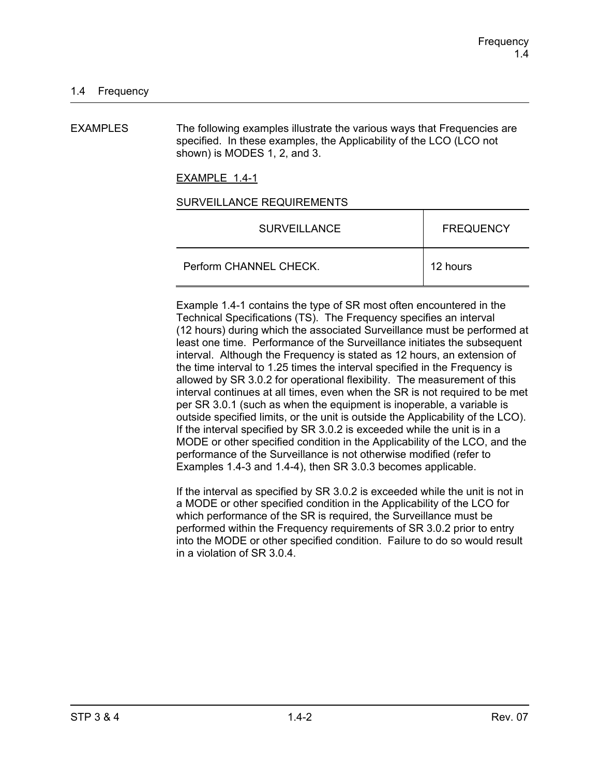EXAMPLES The following examples illustrate the various ways that Frequencies are specified. In these examples, the Applicability of the LCO (LCO not shown) is MODES 1, 2, and 3.

EXAMPLE 1.4-1

#### SURVEILLANCE REQUIREMENTS

| <b>SURVEILLANCE</b>    | <b>FREQUENCY</b> |
|------------------------|------------------|
| Perform CHANNEL CHECK. | 12 hours         |

Example 1.4-1 contains the type of SR most often encountered in the Technical Specifications (TS). The Frequency specifies an interval (12 hours) during which the associated Surveillance must be performed at least one time. Performance of the Surveillance initiates the subsequent interval. Although the Frequency is stated as 12 hours, an extension of the time interval to 1.25 times the interval specified in the Frequency is allowed by SR 3.0.2 for operational flexibility. The measurement of this interval continues at all times, even when the SR is not required to be met per SR 3.0.1 (such as when the equipment is inoperable, a variable is outside specified limits, or the unit is outside the Applicability of the LCO). If the interval specified by SR 3.0.2 is exceeded while the unit is in a MODE or other specified condition in the Applicability of the LCO, and the performance of the Surveillance is not otherwise modified (refer to Examples 1.4-3 and 1.4-4), then SR 3.0.3 becomes applicable.

If the interval as specified by SR 3.0.2 is exceeded while the unit is not in a MODE or other specified condition in the Applicability of the LCO for which performance of the SR is required, the Surveillance must be performed within the Frequency requirements of SR 3.0.2 prior to entry into the MODE or other specified condition. Failure to do so would result in a violation of SR 3.0.4.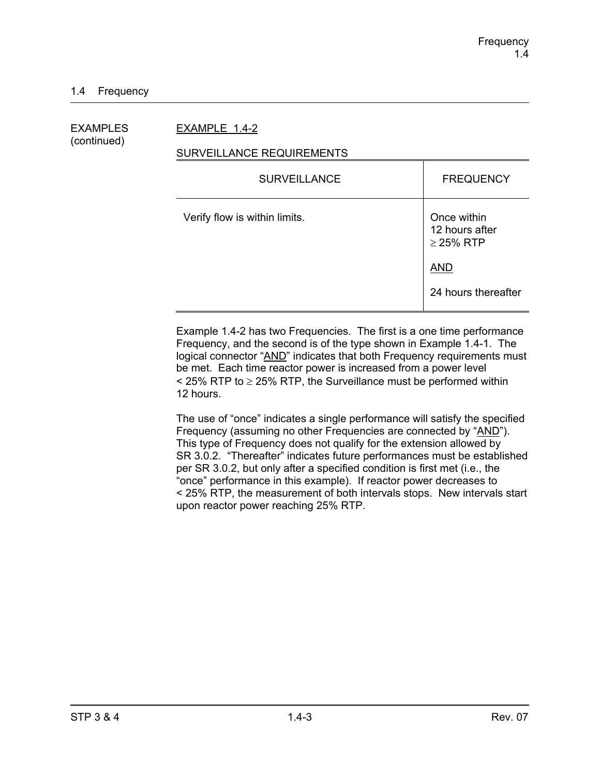EXAMPLES EXAMPLE 1.4-2

# (continued)

#### SURVEILLANCE REQUIREMENTS

| <b>SURVEILLANCE</b>           | <b>FREQUENCY</b>                                |
|-------------------------------|-------------------------------------------------|
| Verify flow is within limits. | Once within<br>12 hours after<br>$\geq$ 25% RTP |
|                               | <b>AND</b>                                      |
|                               | 24 hours thereafter                             |

Example 1.4-2 has two Frequencies. The first is a one time performance Frequency, and the second is of the type shown in Example 1.4-1. The logical connector "AND" indicates that both Frequency requirements must be met. Each time reactor power is increased from a power level  $\le$  25% RTP to  $\ge$  25% RTP, the Surveillance must be performed within 12 hours.

The use of "once" indicates a single performance will satisfy the specified Frequency (assuming no other Frequencies are connected by "AND"). This type of Frequency does not qualify for the extension allowed by SR 3.0.2. "Thereafter" indicates future performances must be established per SR 3.0.2, but only after a specified condition is first met (i.e., the "once" performance in this example). If reactor power decreases to < 25% RTP, the measurement of both intervals stops. New intervals start upon reactor power reaching 25% RTP.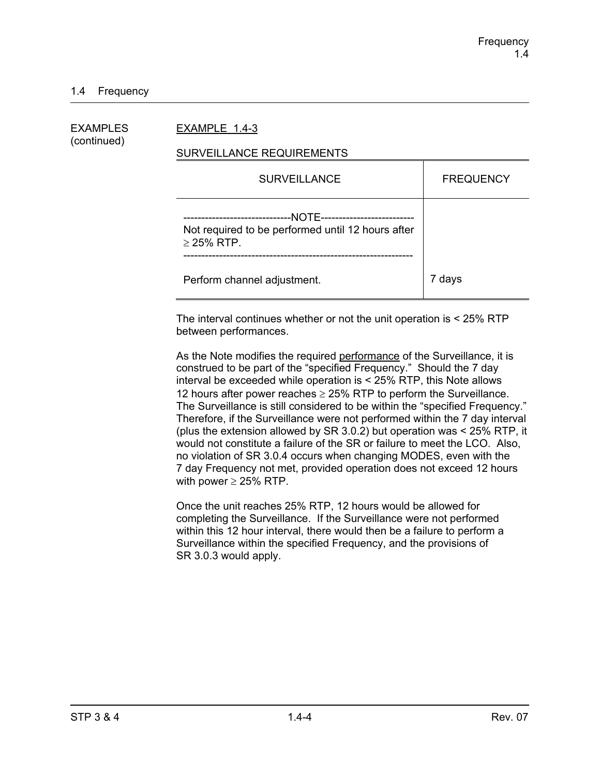#### 1.4 Frequency

| EXAMPLES<br>(continued) | EXAMPLE 1.4-3                                                                                                                       |                  |  |
|-------------------------|-------------------------------------------------------------------------------------------------------------------------------------|------------------|--|
|                         | SURVEILLANCE REQUIREMENTS                                                                                                           |                  |  |
|                         | <b>SURVEILLANCE</b>                                                                                                                 | <b>FREQUENCY</b> |  |
|                         | --NOTE-----------------------<br>--------------------------<br>Not required to be performed until 12 hours after<br>$\geq$ 25% RTP. |                  |  |
|                         | Perform channel adjustment.                                                                                                         | 7 days           |  |

The interval continues whether or not the unit operation is < 25% RTP between performances.

As the Note modifies the required performance of the Surveillance, it is construed to be part of the "specified Frequency." Should the 7 day interval be exceeded while operation is < 25% RTP, this Note allows 12 hours after power reaches  $\geq$  25% RTP to perform the Surveillance. The Surveillance is still considered to be within the "specified Frequency." Therefore, if the Surveillance were not performed within the 7 day interval (plus the extension allowed by SR 3.0.2) but operation was < 25% RTP, it would not constitute a failure of the SR or failure to meet the LCO. Also, no violation of SR 3.0.4 occurs when changing MODES, even with the 7 day Frequency not met, provided operation does not exceed 12 hours with power  $\geq$  25% RTP.

Once the unit reaches 25% RTP, 12 hours would be allowed for completing the Surveillance. If the Surveillance were not performed within this 12 hour interval, there would then be a failure to perform a Surveillance within the specified Frequency, and the provisions of SR 3.0.3 would apply.